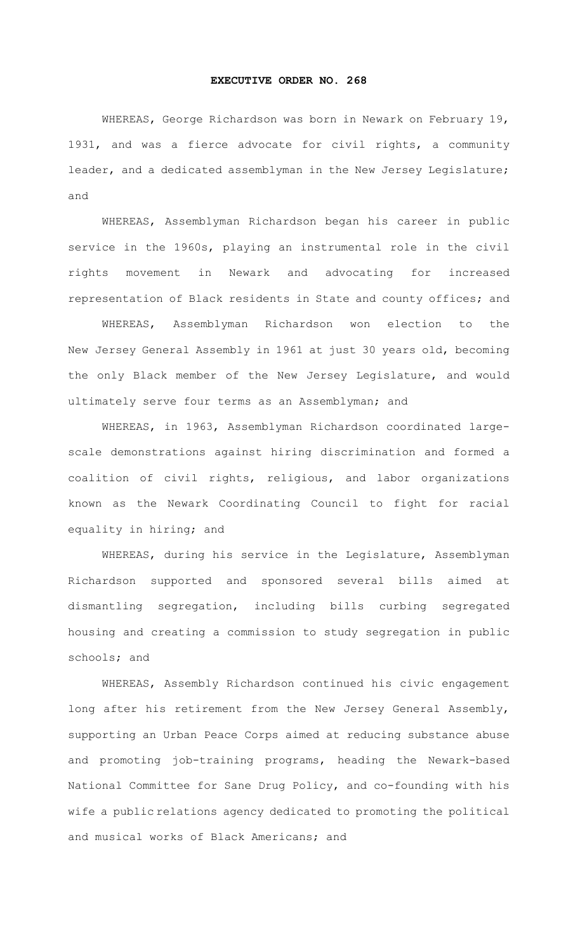## **EXECUTIVE ORDER NO. 268**

WHEREAS, George Richardson was born in Newark on February 19, 1931, and was a fierce advocate for civil rights, a community leader, and a dedicated assemblyman in the New Jersey Legislature; and

WHEREAS, Assemblyman Richardson began his career in public service in the 1960s, playing an instrumental role in the civil rights movement in Newark and advocating for increased representation of Black residents in State and county offices; and

WHEREAS, Assemblyman Richardson won election to the New Jersey General Assembly in 1961 at just 30 years old, becoming the only Black member of the New Jersey Legislature, and would ultimately serve four terms as an Assemblyman; and

WHEREAS, in 1963, Assemblyman Richardson coordinated largescale demonstrations against hiring discrimination and formed a coalition of civil rights, religious, and labor organizations known as the Newark Coordinating Council to fight for racial equality in hiring; and

WHEREAS, during his service in the Legislature, Assemblyman Richardson supported and sponsored several bills aimed at dismantling segregation, including bills curbing segregated housing and creating a commission to study segregation in public schools; and

WHEREAS, Assembly Richardson continued his civic engagement long after his retirement from the New Jersey General Assembly, supporting an Urban Peace Corps aimed at reducing substance abuse and promoting job-training programs, heading the Newark-based National Committee for Sane Drug Policy, and co-founding with his wife a public relations agency dedicated to promoting the political and musical works of Black Americans; and